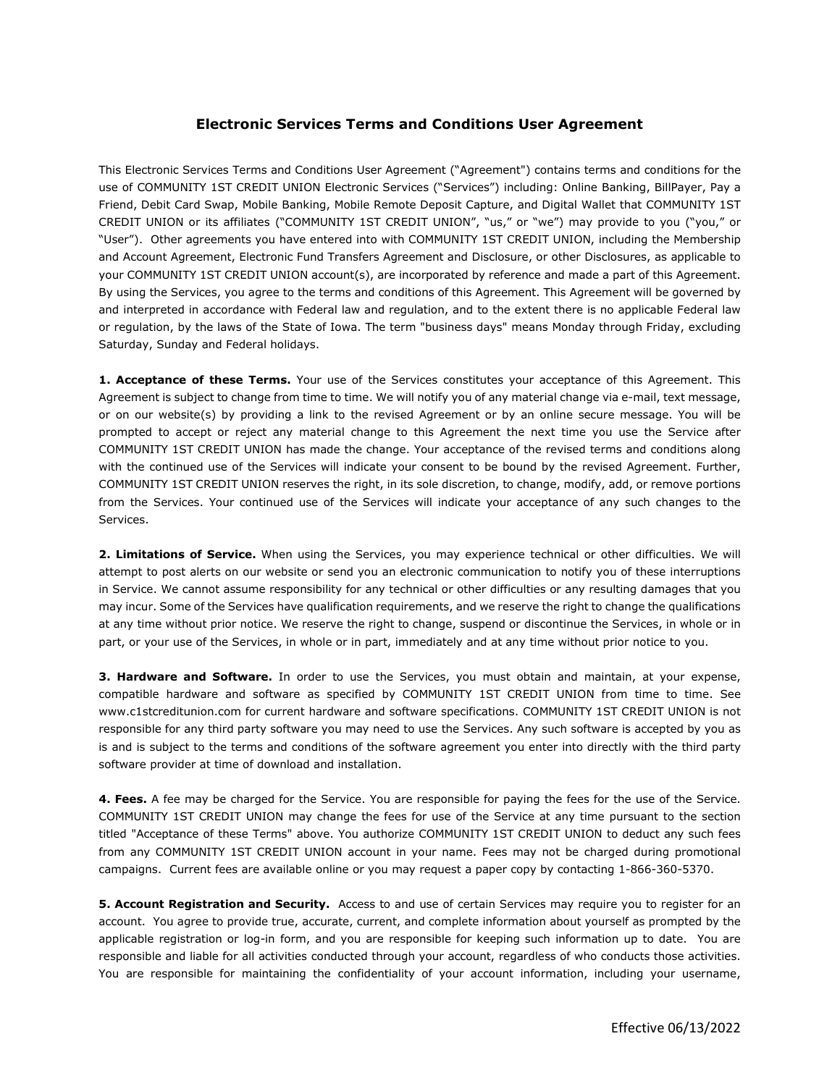# **Electronic Services Terms and Conditions User Agreement**

This Electronic Services Terms and Conditions User Agreement ("Agreement") contains terms and conditions for the use of COMMUNITY 1ST CREDIT UNION Electronic Services ("Services") including: Online Banking, BillPayer, Pay a Friend, Debit Card Swap, Mobile Banking, Mobile Remote Deposit Capture, and Digital Wallet that COMMUNITY 1ST CREDIT UNION or its affiliates ("COMMUNITY 1ST CREDIT UNION", "us," or "we") may provide to you ("you," or "User"). Other agreements you have entered into with COMMUNITY 1ST CREDIT UNION, including the Membership and Account Agreement, Electronic Fund Transfers Agreement and Disclosure, or other Disclosures, as applicable to your COMMUNITY 1ST CREDIT UNION account(s), are incorporated by reference and made a part of this Agreement. By using the Services, you agree to the terms and conditions of this Agreement. This Agreement will be governed by and interpreted in accordance with Federal law and regulation, and to the extent there is no applicable Federal law or regulation, by the laws of the State of Iowa. The term "business days" means Monday through Friday, excluding Saturday, Sunday and Federal holidays.

**1. Acceptance of these Terms.** Your use of the Services constitutes your acceptance of this Agreement. This Agreement is subject to change from time to time. We will notify you of any material change via e-mail, text message, or on our website(s) by providing a link to the revised Agreement or by an online secure message. You will be prompted to accept or reject any material change to this Agreement the next time you use the Service after COMMUNITY 1ST CREDIT UNION has made the change. Your acceptance of the revised terms and conditions along with the continued use of the Services will indicate your consent to be bound by the revised Agreement. Further, COMMUNITY 1ST CREDIT UNION reserves the right, in its sole discretion, to change, modify, add, or remove portions from the Services. Your continued use of the Services will indicate your acceptance of any such changes to the Services.

**2. Limitations of Service.** When using the Services, you may experience technical or other difficulties. We will attempt to post alerts on our website or send you an electronic communication to notify you of these interruptions in Service. We cannot assume responsibility for any technical or other difficulties or any resulting damages that you may incur. Some of the Services have qualification requirements, and we reserve the right to change the qualifications at any time without prior notice. We reserve the right to change, suspend or discontinue the Services, in whole or in part, or your use of the Services, in whole or in part, immediately and at any time without prior notice to you.

**3. Hardware and Software.** In order to use the Services, you must obtain and maintain, at your expense, compatible hardware and software as specified by COMMUNITY 1ST CREDIT UNION from time to time. See www.c1stcreditunion.com for current hardware and software specifications. COMMUNITY 1ST CREDIT UNION is not responsible for any third party software you may need to use the Services. Any such software is accepted by you as is and is subject to the terms and conditions of the software agreement you enter into directly with the third party software provider at time of download and installation.

**4. Fees.** A fee may be charged for the Service. You are responsible for paying the fees for the use of the Service. COMMUNITY 1ST CREDIT UNION may change the fees for use of the Service at any time pursuant to the section titled "Acceptance of these Terms" above. You authorize COMMUNITY 1ST CREDIT UNION to deduct any such fees from any COMMUNITY 1ST CREDIT UNION account in your name. Fees may not be charged during promotional campaigns. Current fees are available online or you may request a paper copy by contacting 1-866-360-5370.

**5. Account Registration and Security.** Access to and use of certain Services may require you to register for an account. You agree to provide true, accurate, current, and complete information about yourself as prompted by the applicable registration or log-in form, and you are responsible for keeping such information up to date. You are responsible and liable for all activities conducted through your account, regardless of who conducts those activities. You are responsible for maintaining the confidentiality of your account information, including your username,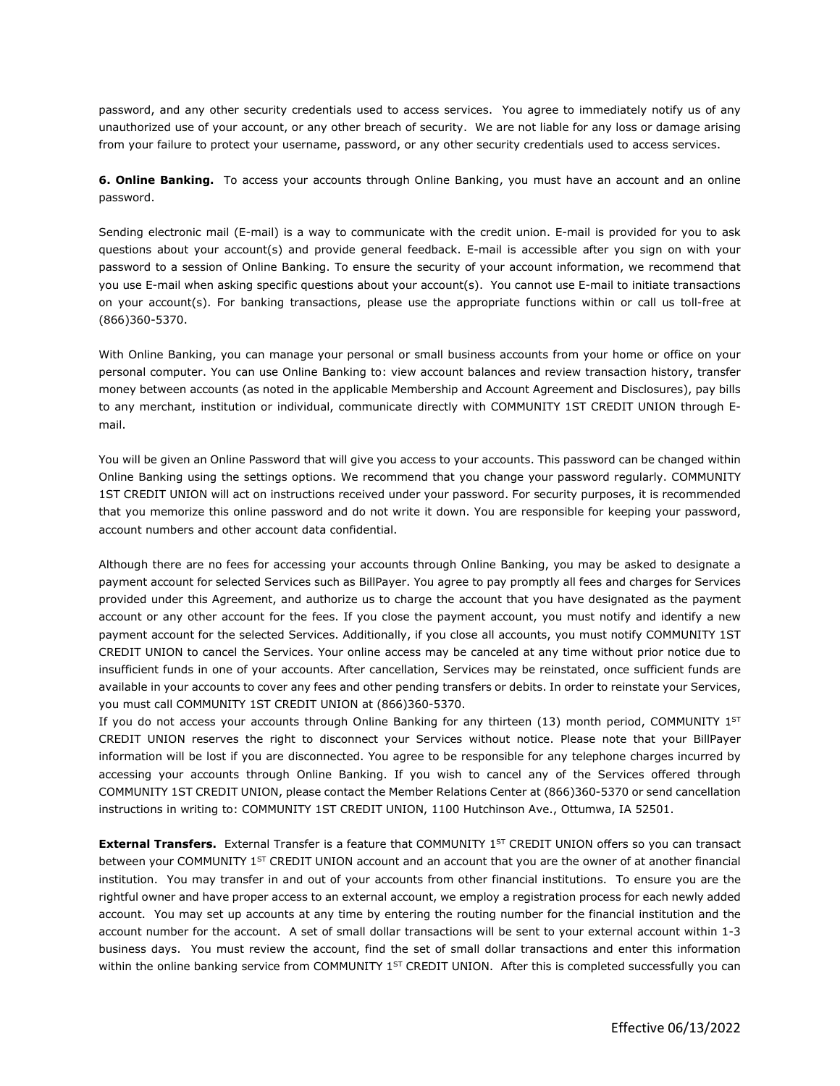password, and any other security credentials used to access services. You agree to immediately notify us of any unauthorized use of your account, or any other breach of security. We are not liable for any loss or damage arising from your failure to protect your username, password, or any other security credentials used to access services.

**6. Online Banking.** To access your accounts through Online Banking, you must have an account and an online password.

Sending electronic mail (E-mail) is a way to communicate with the credit union. E-mail is provided for you to ask questions about your account(s) and provide general feedback. E-mail is accessible after you sign on with your password to a session of Online Banking. To ensure the security of your account information, we recommend that you use E-mail when asking specific questions about your account(s). You cannot use E-mail to initiate transactions on your account(s). For banking transactions, please use the appropriate functions within or call us toll-free at (866)360-5370.

With Online Banking, you can manage your personal or small business accounts from your home or office on your personal computer. You can use Online Banking to: view account balances and review transaction history, transfer money between accounts (as noted in the applicable Membership and Account Agreement and Disclosures), pay bills to any merchant, institution or individual, communicate directly with COMMUNITY 1ST CREDIT UNION through Email.

You will be given an Online Password that will give you access to your accounts. This password can be changed within Online Banking using the settings options. We recommend that you change your password regularly. COMMUNITY 1ST CREDIT UNION will act on instructions received under your password. For security purposes, it is recommended that you memorize this online password and do not write it down. You are responsible for keeping your password, account numbers and other account data confidential.

Although there are no fees for accessing your accounts through Online Banking, you may be asked to designate a payment account for selected Services such as BillPayer. You agree to pay promptly all fees and charges for Services provided under this Agreement, and authorize us to charge the account that you have designated as the payment account or any other account for the fees. If you close the payment account, you must notify and identify a new payment account for the selected Services. Additionally, if you close all accounts, you must notify COMMUNITY 1ST CREDIT UNION to cancel the Services. Your online access may be canceled at any time without prior notice due to insufficient funds in one of your accounts. After cancellation, Services may be reinstated, once sufficient funds are available in your accounts to cover any fees and other pending transfers or debits. In order to reinstate your Services, you must call COMMUNITY 1ST CREDIT UNION at (866)360-5370.

If you do not access your accounts through Online Banking for any thirteen (13) month period, COMMUNITY 1ST CREDIT UNION reserves the right to disconnect your Services without notice. Please note that your BillPayer information will be lost if you are disconnected. You agree to be responsible for any telephone charges incurred by accessing your accounts through Online Banking. If you wish to cancel any of the Services offered through COMMUNITY 1ST CREDIT UNION, please contact the Member Relations Center at (866)360-5370 or send cancellation instructions in writing to: COMMUNITY 1ST CREDIT UNION, 1100 Hutchinson Ave., Ottumwa, IA 52501.

**External Transfers.** External Transfer is a feature that COMMUNITY 1<sup>ST</sup> CREDIT UNION offers so you can transact between your COMMUNITY 1<sup>ST</sup> CREDIT UNION account and an account that you are the owner of at another financial institution. You may transfer in and out of your accounts from other financial institutions. To ensure you are the rightful owner and have proper access to an external account, we employ a registration process for each newly added account. You may set up accounts at any time by entering the routing number for the financial institution and the account number for the account. A set of small dollar transactions will be sent to your external account within 1-3 business days. You must review the account, find the set of small dollar transactions and enter this information within the online banking service from COMMUNITY  $1^{ST}$  CREDIT UNION. After this is completed successfully you can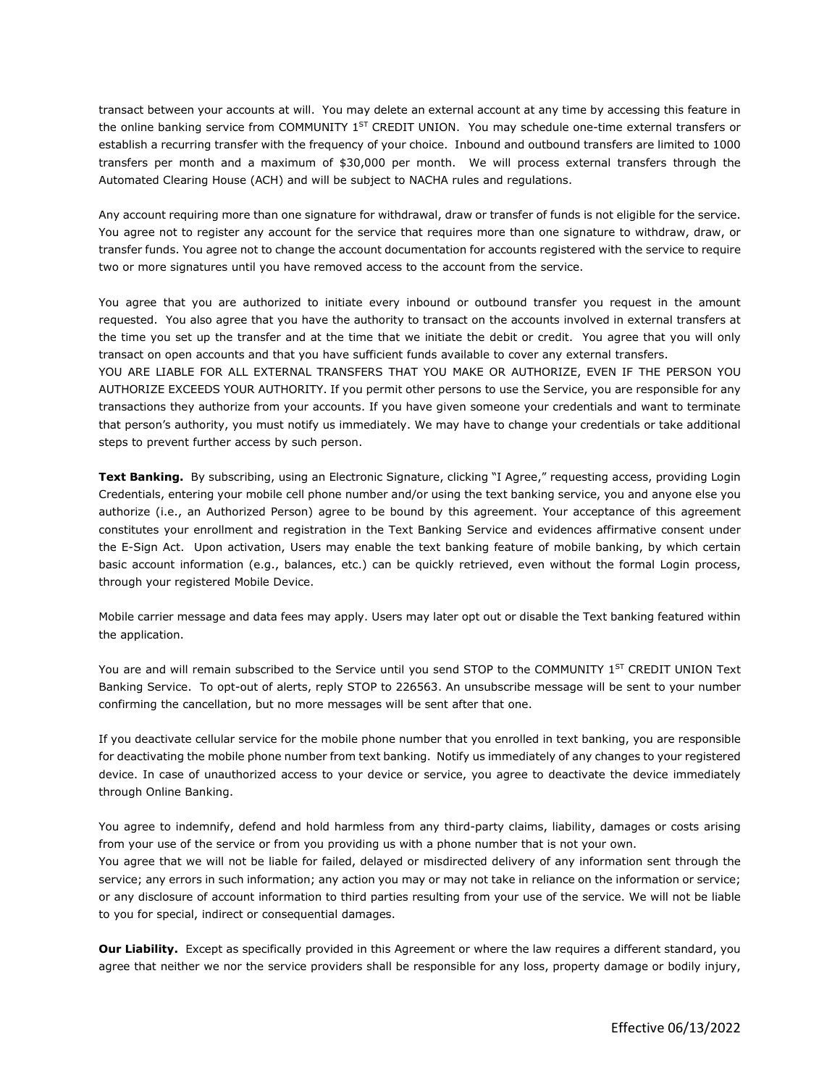transact between your accounts at will. You may delete an external account at any time by accessing this feature in the online banking service from COMMUNITY 1<sup>ST</sup> CREDIT UNION. You may schedule one-time external transfers or establish a recurring transfer with the frequency of your choice. Inbound and outbound transfers are limited to 1000 transfers per month and a maximum of \$30,000 per month. We will process external transfers through the Automated Clearing House (ACH) and will be subject to NACHA rules and regulations.

Any account requiring more than one signature for withdrawal, draw or transfer of funds is not eligible for the service. You agree not to register any account for the service that requires more than one signature to withdraw, draw, or transfer funds. You agree not to change the account documentation for accounts registered with the service to require two or more signatures until you have removed access to the account from the service.

You agree that you are authorized to initiate every inbound or outbound transfer you request in the amount requested. You also agree that you have the authority to transact on the accounts involved in external transfers at the time you set up the transfer and at the time that we initiate the debit or credit. You agree that you will only transact on open accounts and that you have sufficient funds available to cover any external transfers.

YOU ARE LIABLE FOR ALL EXTERNAL TRANSFERS THAT YOU MAKE OR AUTHORIZE, EVEN IF THE PERSON YOU AUTHORIZE EXCEEDS YOUR AUTHORITY. If you permit other persons to use the Service, you are responsible for any transactions they authorize from your accounts. If you have given someone your credentials and want to terminate that person's authority, you must notify us immediately. We may have to change your credentials or take additional steps to prevent further access by such person.

**Text Banking.** By subscribing, using an Electronic Signature, clicking "I Agree," requesting access, providing Login Credentials, entering your mobile cell phone number and/or using the text banking service, you and anyone else you authorize (i.e., an Authorized Person) agree to be bound by this agreement. Your acceptance of this agreement constitutes your enrollment and registration in the Text Banking Service and evidences affirmative consent under the E-Sign Act. Upon activation, Users may enable the text banking feature of mobile banking, by which certain basic account information (e.g., balances, etc.) can be quickly retrieved, even without the formal Login process, through your registered Mobile Device.

Mobile carrier message and data fees may apply. Users may later opt out or disable the Text banking featured within the application.

You are and will remain subscribed to the Service until you send STOP to the COMMUNITY 1<sup>ST</sup> CREDIT UNION Text Banking Service. To opt-out of alerts, reply STOP to 226563. An unsubscribe message will be sent to your number confirming the cancellation, but no more messages will be sent after that one.

If you deactivate cellular service for the mobile phone number that you enrolled in text banking, you are responsible for deactivating the mobile phone number from text banking. Notify us immediately of any changes to your registered device. In case of unauthorized access to your device or service, you agree to deactivate the device immediately through Online Banking.

You agree to indemnify, defend and hold harmless from any third-party claims, liability, damages or costs arising from your use of the service or from you providing us with a phone number that is not your own.

You agree that we will not be liable for failed, delayed or misdirected delivery of any information sent through the service; any errors in such information; any action you may or may not take in reliance on the information or service; or any disclosure of account information to third parties resulting from your use of the service. We will not be liable to you for special, indirect or consequential damages.

**Our Liability.** Except as specifically provided in this Agreement or where the law requires a different standard, you agree that neither we nor the service providers shall be responsible for any loss, property damage or bodily injury,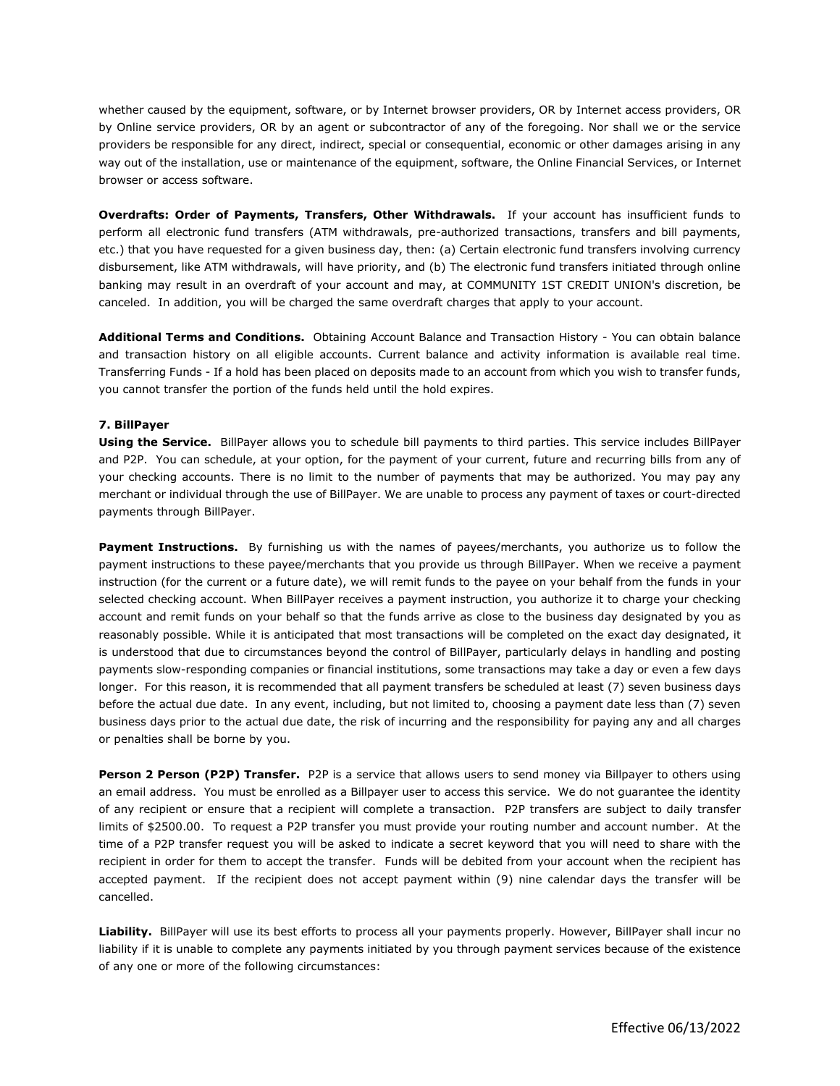whether caused by the equipment, software, or by Internet browser providers, OR by Internet access providers, OR by Online service providers, OR by an agent or subcontractor of any of the foregoing. Nor shall we or the service providers be responsible for any direct, indirect, special or consequential, economic or other damages arising in any way out of the installation, use or maintenance of the equipment, software, the Online Financial Services, or Internet browser or access software.

**Overdrafts: Order of Payments, Transfers, Other Withdrawals.** If your account has insufficient funds to perform all electronic fund transfers (ATM withdrawals, pre-authorized transactions, transfers and bill payments, etc.) that you have requested for a given business day, then: (a) Certain electronic fund transfers involving currency disbursement, like ATM withdrawals, will have priority, and (b) The electronic fund transfers initiated through online banking may result in an overdraft of your account and may, at COMMUNITY 1ST CREDIT UNION's discretion, be canceled. In addition, you will be charged the same overdraft charges that apply to your account.

**Additional Terms and Conditions.** Obtaining Account Balance and Transaction History - You can obtain balance and transaction history on all eligible accounts. Current balance and activity information is available real time. Transferring Funds - If a hold has been placed on deposits made to an account from which you wish to transfer funds, you cannot transfer the portion of the funds held until the hold expires.

#### **7. BillPayer**

**Using the Service.** BillPayer allows you to schedule bill payments to third parties. This service includes BillPayer and P2P. You can schedule, at your option, for the payment of your current, future and recurring bills from any of your checking accounts. There is no limit to the number of payments that may be authorized. You may pay any merchant or individual through the use of BillPayer. We are unable to process any payment of taxes or court-directed payments through BillPayer.

**Payment Instructions.** By furnishing us with the names of payees/merchants, you authorize us to follow the payment instructions to these payee/merchants that you provide us through BillPayer. When we receive a payment instruction (for the current or a future date), we will remit funds to the payee on your behalf from the funds in your selected checking account. When BillPayer receives a payment instruction, you authorize it to charge your checking account and remit funds on your behalf so that the funds arrive as close to the business day designated by you as reasonably possible. While it is anticipated that most transactions will be completed on the exact day designated, it is understood that due to circumstances beyond the control of BillPayer, particularly delays in handling and posting payments slow-responding companies or financial institutions, some transactions may take a day or even a few days longer. For this reason, it is recommended that all payment transfers be scheduled at least (7) seven business days before the actual due date. In any event, including, but not limited to, choosing a payment date less than (7) seven business days prior to the actual due date, the risk of incurring and the responsibility for paying any and all charges or penalties shall be borne by you.

**Person 2 Person (P2P) Transfer.** P2P is a service that allows users to send money via Billpayer to others using an email address. You must be enrolled as a Billpayer user to access this service. We do not guarantee the identity of any recipient or ensure that a recipient will complete a transaction. P2P transfers are subject to daily transfer limits of \$2500.00. To request a P2P transfer you must provide your routing number and account number. At the time of a P2P transfer request you will be asked to indicate a secret keyword that you will need to share with the recipient in order for them to accept the transfer. Funds will be debited from your account when the recipient has accepted payment. If the recipient does not accept payment within (9) nine calendar days the transfer will be cancelled.

**Liability.** BillPayer will use its best efforts to process all your payments properly. However, BillPayer shall incur no liability if it is unable to complete any payments initiated by you through payment services because of the existence of any one or more of the following circumstances: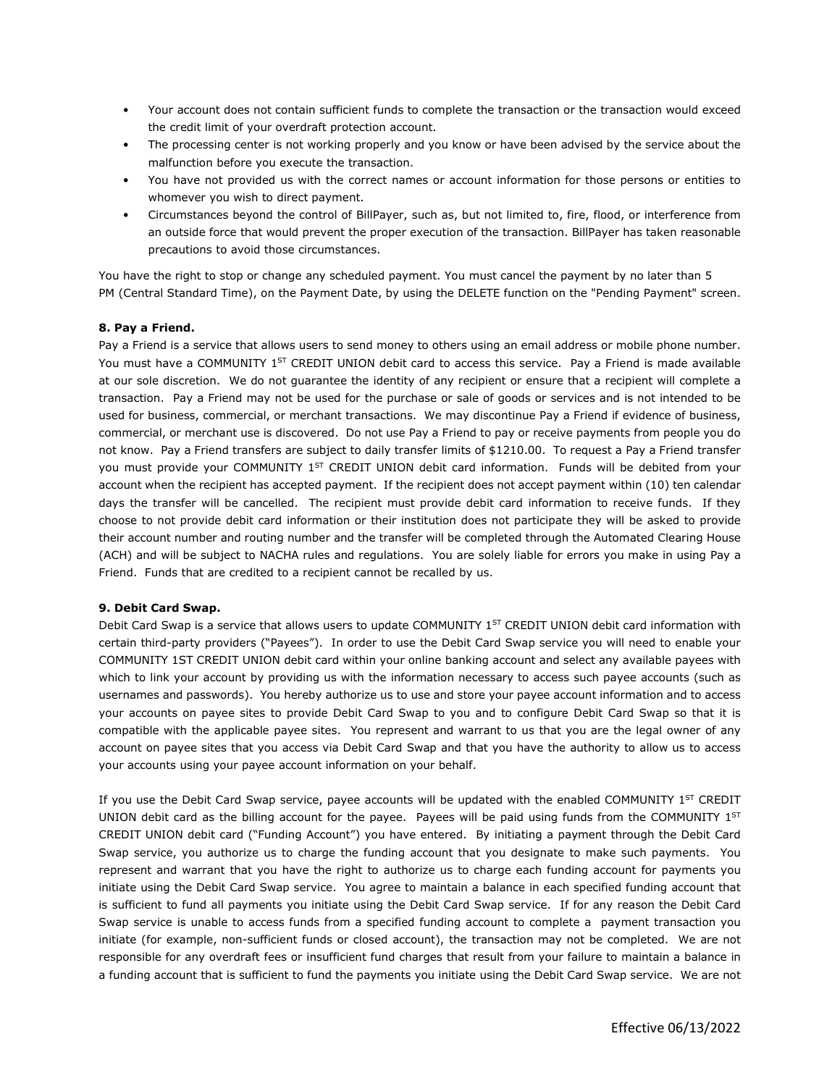- Your account does not contain sufficient funds to complete the transaction or the transaction would exceed the credit limit of your overdraft protection account.
- The processing center is not working properly and you know or have been advised by the service about the malfunction before you execute the transaction.
- You have not provided us with the correct names or account information for those persons or entities to whomever you wish to direct payment.
- Circumstances beyond the control of BillPayer, such as, but not limited to, fire, flood, or interference from an outside force that would prevent the proper execution of the transaction. BillPayer has taken reasonable precautions to avoid those circumstances.

You have the right to stop or change any scheduled payment. You must cancel the payment by no later than 5 PM (Central Standard Time), on the Payment Date, by using the DELETE function on the "Pending Payment" screen.

### **8. Pay a Friend.**

Pay a Friend is a service that allows users to send money to others using an email address or mobile phone number. You must have a COMMUNITY 1<sup>ST</sup> CREDIT UNION debit card to access this service. Pay a Friend is made available at our sole discretion. We do not guarantee the identity of any recipient or ensure that a recipient will complete a transaction. Pay a Friend may not be used for the purchase or sale of goods or services and is not intended to be used for business, commercial, or merchant transactions. We may discontinue Pay a Friend if evidence of business, commercial, or merchant use is discovered. Do not use Pay a Friend to pay or receive payments from people you do not know. Pay a Friend transfers are subject to daily transfer limits of \$1210.00. To request a Pay a Friend transfer you must provide your COMMUNITY 1<sup>ST</sup> CREDIT UNION debit card information. Funds will be debited from your account when the recipient has accepted payment. If the recipient does not accept payment within (10) ten calendar days the transfer will be cancelled. The recipient must provide debit card information to receive funds. If they choose to not provide debit card information or their institution does not participate they will be asked to provide their account number and routing number and the transfer will be completed through the Automated Clearing House (ACH) and will be subject to NACHA rules and regulations. You are solely liable for errors you make in using Pay a Friend. Funds that are credited to a recipient cannot be recalled by us.

#### **9. Debit Card Swap.**

Debit Card Swap is a service that allows users to update COMMUNITY 1<sup>ST</sup> CREDIT UNION debit card information with certain third-party providers ("Payees"). In order to use the Debit Card Swap service you will need to enable your COMMUNITY 1ST CREDIT UNION debit card within your online banking account and select any available payees with which to link your account by providing us with the information necessary to access such payee accounts (such as usernames and passwords). You hereby authorize us to use and store your payee account information and to access your accounts on payee sites to provide Debit Card Swap to you and to configure Debit Card Swap so that it is compatible with the applicable payee sites. You represent and warrant to us that you are the legal owner of any account on payee sites that you access via Debit Card Swap and that you have the authority to allow us to access your accounts using your payee account information on your behalf.

If you use the Debit Card Swap service, payee accounts will be updated with the enabled COMMUNITY 1ST CREDIT UNION debit card as the billing account for the payee. Payees will be paid using funds from the COMMUNITY  $1^{ST}$ CREDIT UNION debit card ("Funding Account") you have entered. By initiating a payment through the Debit Card Swap service, you authorize us to charge the funding account that you designate to make such payments. You represent and warrant that you have the right to authorize us to charge each funding account for payments you initiate using the Debit Card Swap service. You agree to maintain a balance in each specified funding account that is sufficient to fund all payments you initiate using the Debit Card Swap service. If for any reason the Debit Card Swap service is unable to access funds from a specified funding account to complete a payment transaction you initiate (for example, non-sufficient funds or closed account), the transaction may not be completed. We are not responsible for any overdraft fees or insufficient fund charges that result from your failure to maintain a balance in a funding account that is sufficient to fund the payments you initiate using the Debit Card Swap service. We are not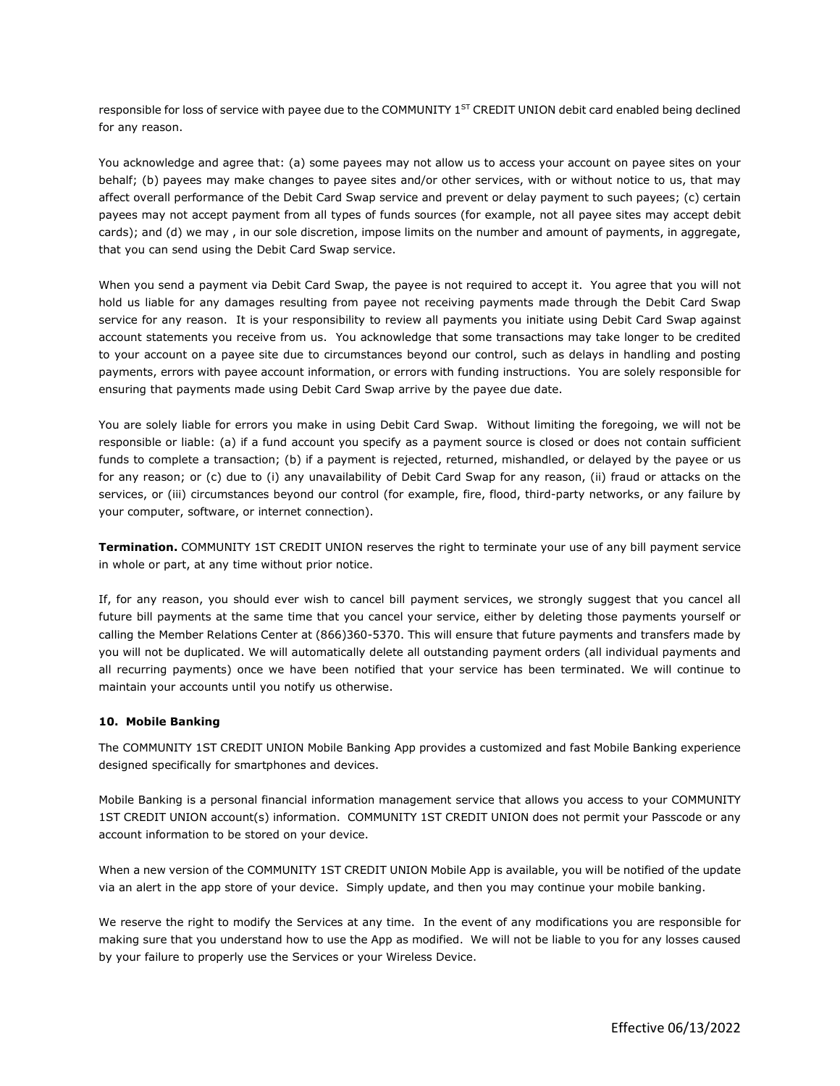responsible for loss of service with payee due to the COMMUNITY 1<sup>ST</sup> CREDIT UNION debit card enabled being declined for any reason.

You acknowledge and agree that: (a) some payees may not allow us to access your account on payee sites on your behalf; (b) payees may make changes to payee sites and/or other services, with or without notice to us, that may affect overall performance of the Debit Card Swap service and prevent or delay payment to such payees; (c) certain payees may not accept payment from all types of funds sources (for example, not all payee sites may accept debit cards); and (d) we may , in our sole discretion, impose limits on the number and amount of payments, in aggregate, that you can send using the Debit Card Swap service.

When you send a payment via Debit Card Swap, the payee is not required to accept it. You agree that you will not hold us liable for any damages resulting from payee not receiving payments made through the Debit Card Swap service for any reason. It is your responsibility to review all payments you initiate using Debit Card Swap against account statements you receive from us. You acknowledge that some transactions may take longer to be credited to your account on a payee site due to circumstances beyond our control, such as delays in handling and posting payments, errors with payee account information, or errors with funding instructions. You are solely responsible for ensuring that payments made using Debit Card Swap arrive by the payee due date.

You are solely liable for errors you make in using Debit Card Swap. Without limiting the foregoing, we will not be responsible or liable: (a) if a fund account you specify as a payment source is closed or does not contain sufficient funds to complete a transaction; (b) if a payment is rejected, returned, mishandled, or delayed by the payee or us for any reason; or (c) due to (i) any unavailability of Debit Card Swap for any reason, (ii) fraud or attacks on the services, or (iii) circumstances beyond our control (for example, fire, flood, third-party networks, or any failure by your computer, software, or internet connection).

**Termination.** COMMUNITY 1ST CREDIT UNION reserves the right to terminate your use of any bill payment service in whole or part, at any time without prior notice.

If, for any reason, you should ever wish to cancel bill payment services, we strongly suggest that you cancel all future bill payments at the same time that you cancel your service, either by deleting those payments yourself or calling the Member Relations Center at (866)360-5370. This will ensure that future payments and transfers made by you will not be duplicated. We will automatically delete all outstanding payment orders (all individual payments and all recurring payments) once we have been notified that your service has been terminated. We will continue to maintain your accounts until you notify us otherwise.

#### **10. Mobile Banking**

The COMMUNITY 1ST CREDIT UNION Mobile Banking App provides a customized and fast Mobile Banking experience designed specifically for smartphones and devices.

Mobile Banking is a personal financial information management service that allows you access to your COMMUNITY 1ST CREDIT UNION account(s) information. COMMUNITY 1ST CREDIT UNION does not permit your Passcode or any account information to be stored on your device.

When a new version of the COMMUNITY 1ST CREDIT UNION Mobile App is available, you will be notified of the update via an alert in the app store of your device. Simply update, and then you may continue your mobile banking.

We reserve the right to modify the Services at any time. In the event of any modifications you are responsible for making sure that you understand how to use the App as modified. We will not be liable to you for any losses caused by your failure to properly use the Services or your Wireless Device.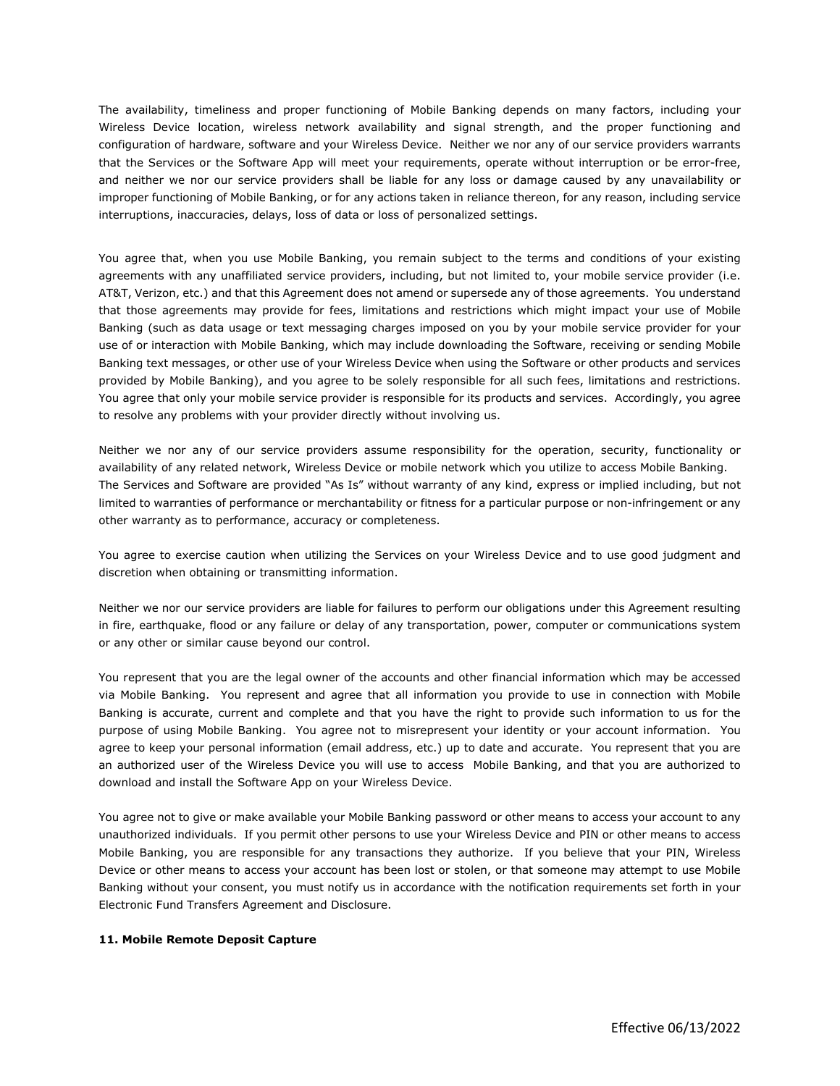The availability, timeliness and proper functioning of Mobile Banking depends on many factors, including your Wireless Device location, wireless network availability and signal strength, and the proper functioning and configuration of hardware, software and your Wireless Device. Neither we nor any of our service providers warrants that the Services or the Software App will meet your requirements, operate without interruption or be error-free, and neither we nor our service providers shall be liable for any loss or damage caused by any unavailability or improper functioning of Mobile Banking, or for any actions taken in reliance thereon, for any reason, including service interruptions, inaccuracies, delays, loss of data or loss of personalized settings.

You agree that, when you use Mobile Banking, you remain subject to the terms and conditions of your existing agreements with any unaffiliated service providers, including, but not limited to, your mobile service provider (i.e. AT&T, Verizon, etc.) and that this Agreement does not amend or supersede any of those agreements. You understand that those agreements may provide for fees, limitations and restrictions which might impact your use of Mobile Banking (such as data usage or text messaging charges imposed on you by your mobile service provider for your use of or interaction with Mobile Banking, which may include downloading the Software, receiving or sending Mobile Banking text messages, or other use of your Wireless Device when using the Software or other products and services provided by Mobile Banking), and you agree to be solely responsible for all such fees, limitations and restrictions. You agree that only your mobile service provider is responsible for its products and services. Accordingly, you agree to resolve any problems with your provider directly without involving us.

Neither we nor any of our service providers assume responsibility for the operation, security, functionality or availability of any related network, Wireless Device or mobile network which you utilize to access Mobile Banking. The Services and Software are provided "As Is" without warranty of any kind, express or implied including, but not limited to warranties of performance or merchantability or fitness for a particular purpose or non-infringement or any other warranty as to performance, accuracy or completeness.

You agree to exercise caution when utilizing the Services on your Wireless Device and to use good judgment and discretion when obtaining or transmitting information.

Neither we nor our service providers are liable for failures to perform our obligations under this Agreement resulting in fire, earthquake, flood or any failure or delay of any transportation, power, computer or communications system or any other or similar cause beyond our control.

You represent that you are the legal owner of the accounts and other financial information which may be accessed via Mobile Banking. You represent and agree that all information you provide to use in connection with Mobile Banking is accurate, current and complete and that you have the right to provide such information to us for the purpose of using Mobile Banking. You agree not to misrepresent your identity or your account information. You agree to keep your personal information (email address, etc.) up to date and accurate. You represent that you are an authorized user of the Wireless Device you will use to access Mobile Banking, and that you are authorized to download and install the Software App on your Wireless Device.

You agree not to give or make available your Mobile Banking password or other means to access your account to any unauthorized individuals. If you permit other persons to use your Wireless Device and PIN or other means to access Mobile Banking, you are responsible for any transactions they authorize. If you believe that your PIN, Wireless Device or other means to access your account has been lost or stolen, or that someone may attempt to use Mobile Banking without your consent, you must notify us in accordance with the notification requirements set forth in your Electronic Fund Transfers Agreement and Disclosure.

#### **11. Mobile Remote Deposit Capture**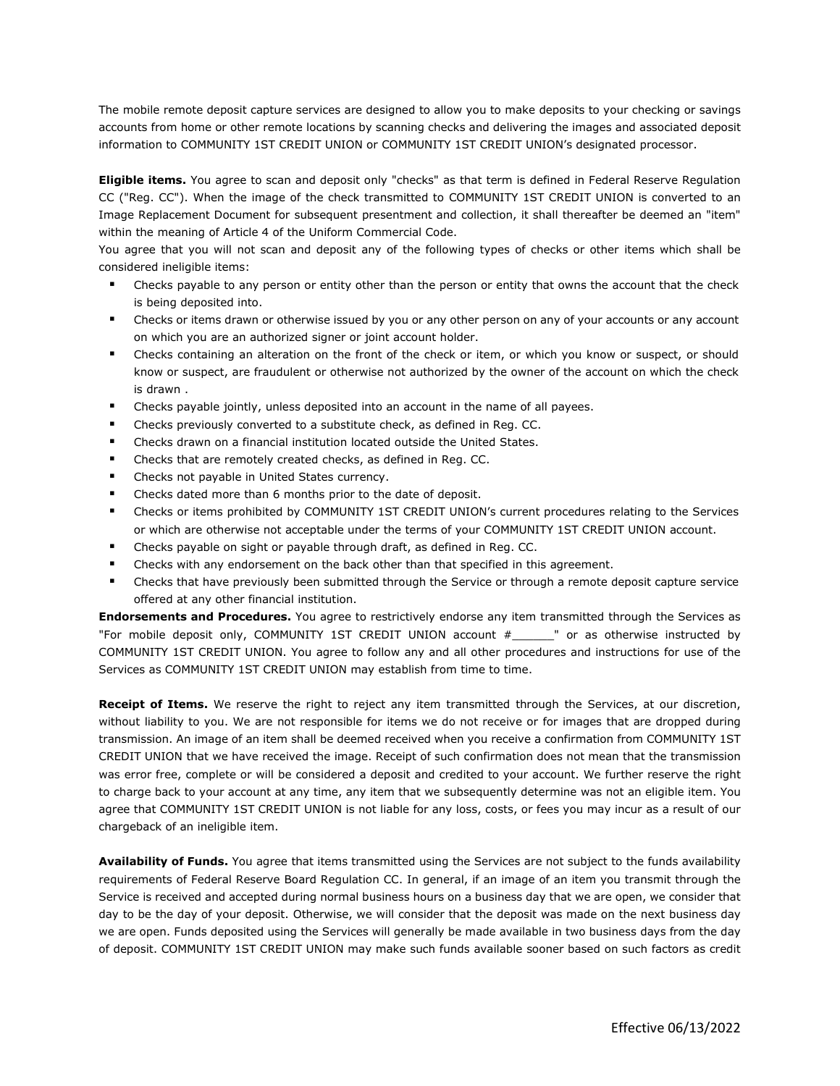The mobile remote deposit capture services are designed to allow you to make deposits to your checking or savings accounts from home or other remote locations by scanning checks and delivering the images and associated deposit information to COMMUNITY 1ST CREDIT UNION or COMMUNITY 1ST CREDIT UNION's designated processor.

**Eligible items.** You agree to scan and deposit only "checks" as that term is defined in Federal Reserve Regulation CC ("Reg. CC"). When the image of the check transmitted to COMMUNITY 1ST CREDIT UNION is converted to an Image Replacement Document for subsequent presentment and collection, it shall thereafter be deemed an "item" within the meaning of Article 4 of the Uniform Commercial Code.

You agree that you will not scan and deposit any of the following types of checks or other items which shall be considered ineligible items:

- Checks payable to any person or entity other than the person or entity that owns the account that the check is being deposited into.
- Checks or items drawn or otherwise issued by you or any other person on any of your accounts or any account on which you are an authorized signer or joint account holder.
- Checks containing an alteration on the front of the check or item, or which you know or suspect, or should know or suspect, are fraudulent or otherwise not authorized by the owner of the account on which the check is drawn .
- Checks payable jointly, unless deposited into an account in the name of all payees.
- Checks previously converted to a substitute check, as defined in Reg. CC.
- Checks drawn on a financial institution located outside the United States.
- Checks that are remotely created checks, as defined in Reg. CC.
- Checks not payable in United States currency.
- Checks dated more than 6 months prior to the date of deposit.
- Checks or items prohibited by COMMUNITY 1ST CREDIT UNION's current procedures relating to the Services or which are otherwise not acceptable under the terms of your COMMUNITY 1ST CREDIT UNION account.
- Checks payable on sight or payable through draft, as defined in Reg. CC.
- Checks with any endorsement on the back other than that specified in this agreement.
- Checks that have previously been submitted through the Service or through a remote deposit capture service offered at any other financial institution.

**Endorsements and Procedures.** You agree to restrictively endorse any item transmitted through the Services as "For mobile deposit only, COMMUNITY 1ST CREDIT UNION account #\_\_\_\_\_\_" or as otherwise instructed by COMMUNITY 1ST CREDIT UNION. You agree to follow any and all other procedures and instructions for use of the Services as COMMUNITY 1ST CREDIT UNION may establish from time to time.

**Receipt of Items.** We reserve the right to reject any item transmitted through the Services, at our discretion, without liability to you. We are not responsible for items we do not receive or for images that are dropped during transmission. An image of an item shall be deemed received when you receive a confirmation from COMMUNITY 1ST CREDIT UNION that we have received the image. Receipt of such confirmation does not mean that the transmission was error free, complete or will be considered a deposit and credited to your account. We further reserve the right to charge back to your account at any time, any item that we subsequently determine was not an eligible item. You agree that COMMUNITY 1ST CREDIT UNION is not liable for any loss, costs, or fees you may incur as a result of our chargeback of an ineligible item.

**Availability of Funds.** You agree that items transmitted using the Services are not subject to the funds availability requirements of Federal Reserve Board Regulation CC. In general, if an image of an item you transmit through the Service is received and accepted during normal business hours on a business day that we are open, we consider that day to be the day of your deposit. Otherwise, we will consider that the deposit was made on the next business day we are open. Funds deposited using the Services will generally be made available in two business days from the day of deposit. COMMUNITY 1ST CREDIT UNION may make such funds available sooner based on such factors as credit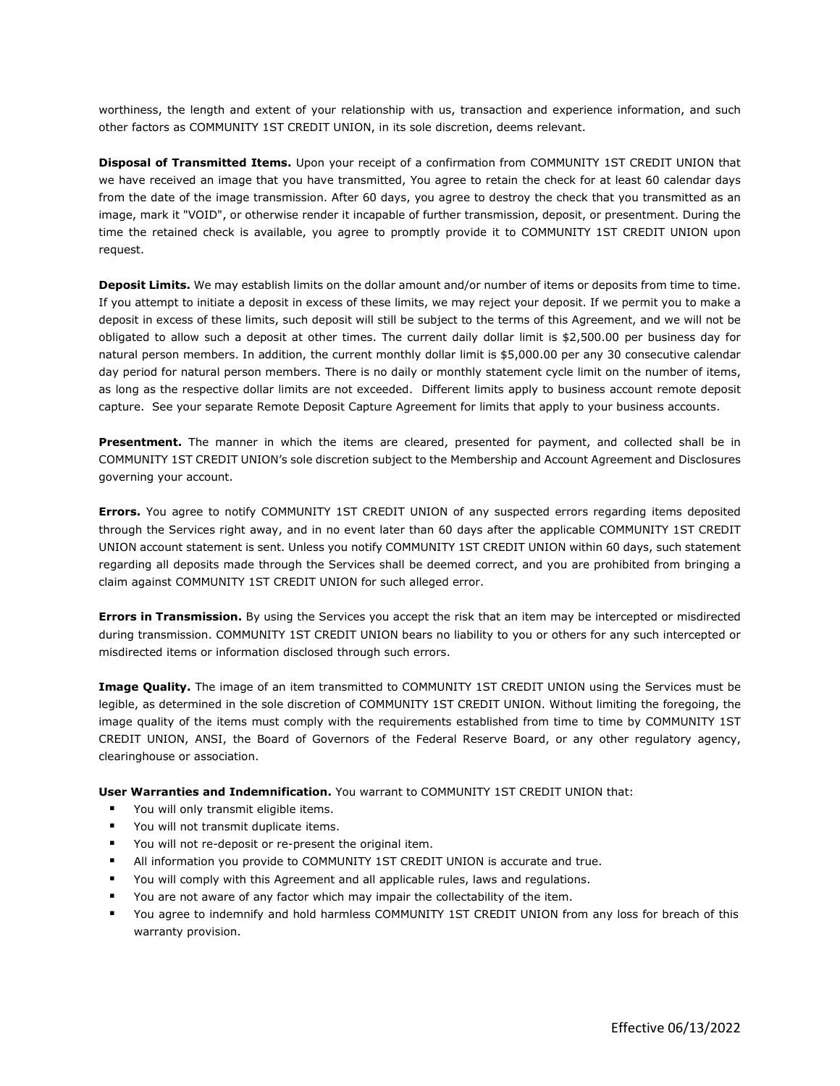worthiness, the length and extent of your relationship with us, transaction and experience information, and such other factors as COMMUNITY 1ST CREDIT UNION, in its sole discretion, deems relevant.

**Disposal of Transmitted Items.** Upon your receipt of a confirmation from COMMUNITY 1ST CREDIT UNION that we have received an image that you have transmitted, You agree to retain the check for at least 60 calendar days from the date of the image transmission. After 60 days, you agree to destroy the check that you transmitted as an image, mark it "VOID", or otherwise render it incapable of further transmission, deposit, or presentment. During the time the retained check is available, you agree to promptly provide it to COMMUNITY 1ST CREDIT UNION upon request.

**Deposit Limits.** We may establish limits on the dollar amount and/or number of items or deposits from time to time. If you attempt to initiate a deposit in excess of these limits, we may reject your deposit. If we permit you to make a deposit in excess of these limits, such deposit will still be subject to the terms of this Agreement, and we will not be obligated to allow such a deposit at other times. The current daily dollar limit is \$2,500.00 per business day for natural person members. In addition, the current monthly dollar limit is \$5,000.00 per any 30 consecutive calendar day period for natural person members. There is no daily or monthly statement cycle limit on the number of items, as long as the respective dollar limits are not exceeded. Different limits apply to business account remote deposit capture. See your separate Remote Deposit Capture Agreement for limits that apply to your business accounts.

**Presentment.** The manner in which the items are cleared, presented for payment, and collected shall be in COMMUNITY 1ST CREDIT UNION's sole discretion subject to the Membership and Account Agreement and Disclosures governing your account.

**Errors.** You agree to notify COMMUNITY 1ST CREDIT UNION of any suspected errors regarding items deposited through the Services right away, and in no event later than 60 days after the applicable COMMUNITY 1ST CREDIT UNION account statement is sent. Unless you notify COMMUNITY 1ST CREDIT UNION within 60 days, such statement regarding all deposits made through the Services shall be deemed correct, and you are prohibited from bringing a claim against COMMUNITY 1ST CREDIT UNION for such alleged error.

**Errors in Transmission.** By using the Services you accept the risk that an item may be intercepted or misdirected during transmission. COMMUNITY 1ST CREDIT UNION bears no liability to you or others for any such intercepted or misdirected items or information disclosed through such errors.

**Image Quality.** The image of an item transmitted to COMMUNITY 1ST CREDIT UNION using the Services must be legible, as determined in the sole discretion of COMMUNITY 1ST CREDIT UNION. Without limiting the foregoing, the image quality of the items must comply with the requirements established from time to time by COMMUNITY 1ST CREDIT UNION, ANSI, the Board of Governors of the Federal Reserve Board, or any other regulatory agency, clearinghouse or association.

**User Warranties and Indemnification.** You warrant to COMMUNITY 1ST CREDIT UNION that:

- **•** You will only transmit eligible items.
- You will not transmit duplicate items.
- You will not re-deposit or re-present the original item.
- All information you provide to COMMUNITY 1ST CREDIT UNION is accurate and true.
- You will comply with this Agreement and all applicable rules, laws and regulations.
- You are not aware of any factor which may impair the collectability of the item.
- You agree to indemnify and hold harmless COMMUNITY 1ST CREDIT UNION from any loss for breach of this warranty provision.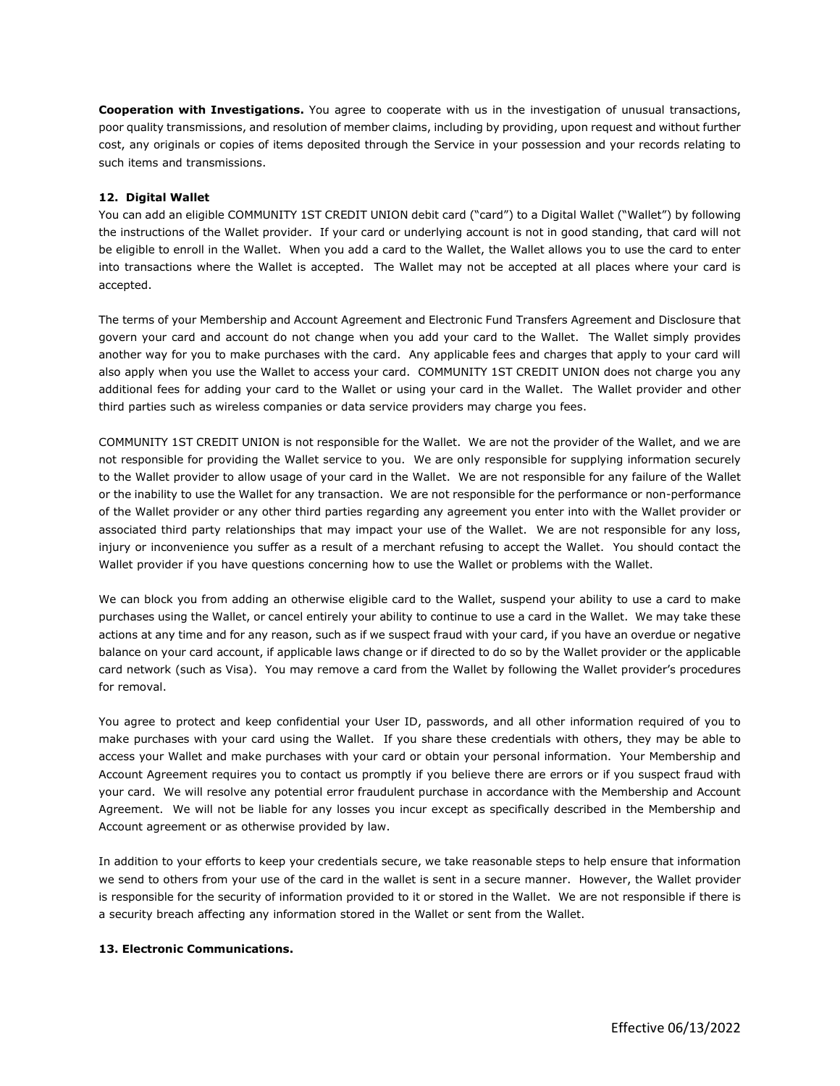**Cooperation with Investigations.** You agree to cooperate with us in the investigation of unusual transactions, poor quality transmissions, and resolution of member claims, including by providing, upon request and without further cost, any originals or copies of items deposited through the Service in your possession and your records relating to such items and transmissions.

#### **12. Digital Wallet**

You can add an eligible COMMUNITY 1ST CREDIT UNION debit card ("card") to a Digital Wallet ("Wallet") by following the instructions of the Wallet provider. If your card or underlying account is not in good standing, that card will not be eligible to enroll in the Wallet. When you add a card to the Wallet, the Wallet allows you to use the card to enter into transactions where the Wallet is accepted. The Wallet may not be accepted at all places where your card is accepted.

The terms of your Membership and Account Agreement and Electronic Fund Transfers Agreement and Disclosure that govern your card and account do not change when you add your card to the Wallet. The Wallet simply provides another way for you to make purchases with the card. Any applicable fees and charges that apply to your card will also apply when you use the Wallet to access your card. COMMUNITY 1ST CREDIT UNION does not charge you any additional fees for adding your card to the Wallet or using your card in the Wallet. The Wallet provider and other third parties such as wireless companies or data service providers may charge you fees.

COMMUNITY 1ST CREDIT UNION is not responsible for the Wallet. We are not the provider of the Wallet, and we are not responsible for providing the Wallet service to you. We are only responsible for supplying information securely to the Wallet provider to allow usage of your card in the Wallet. We are not responsible for any failure of the Wallet or the inability to use the Wallet for any transaction. We are not responsible for the performance or non-performance of the Wallet provider or any other third parties regarding any agreement you enter into with the Wallet provider or associated third party relationships that may impact your use of the Wallet. We are not responsible for any loss, injury or inconvenience you suffer as a result of a merchant refusing to accept the Wallet. You should contact the Wallet provider if you have questions concerning how to use the Wallet or problems with the Wallet.

We can block you from adding an otherwise eligible card to the Wallet, suspend your ability to use a card to make purchases using the Wallet, or cancel entirely your ability to continue to use a card in the Wallet. We may take these actions at any time and for any reason, such as if we suspect fraud with your card, if you have an overdue or negative balance on your card account, if applicable laws change or if directed to do so by the Wallet provider or the applicable card network (such as Visa). You may remove a card from the Wallet by following the Wallet provider's procedures for removal.

You agree to protect and keep confidential your User ID, passwords, and all other information required of you to make purchases with your card using the Wallet. If you share these credentials with others, they may be able to access your Wallet and make purchases with your card or obtain your personal information. Your Membership and Account Agreement requires you to contact us promptly if you believe there are errors or if you suspect fraud with your card. We will resolve any potential error fraudulent purchase in accordance with the Membership and Account Agreement. We will not be liable for any losses you incur except as specifically described in the Membership and Account agreement or as otherwise provided by law.

In addition to your efforts to keep your credentials secure, we take reasonable steps to help ensure that information we send to others from your use of the card in the wallet is sent in a secure manner. However, the Wallet provider is responsible for the security of information provided to it or stored in the Wallet. We are not responsible if there is a security breach affecting any information stored in the Wallet or sent from the Wallet.

#### **13. Electronic Communications.**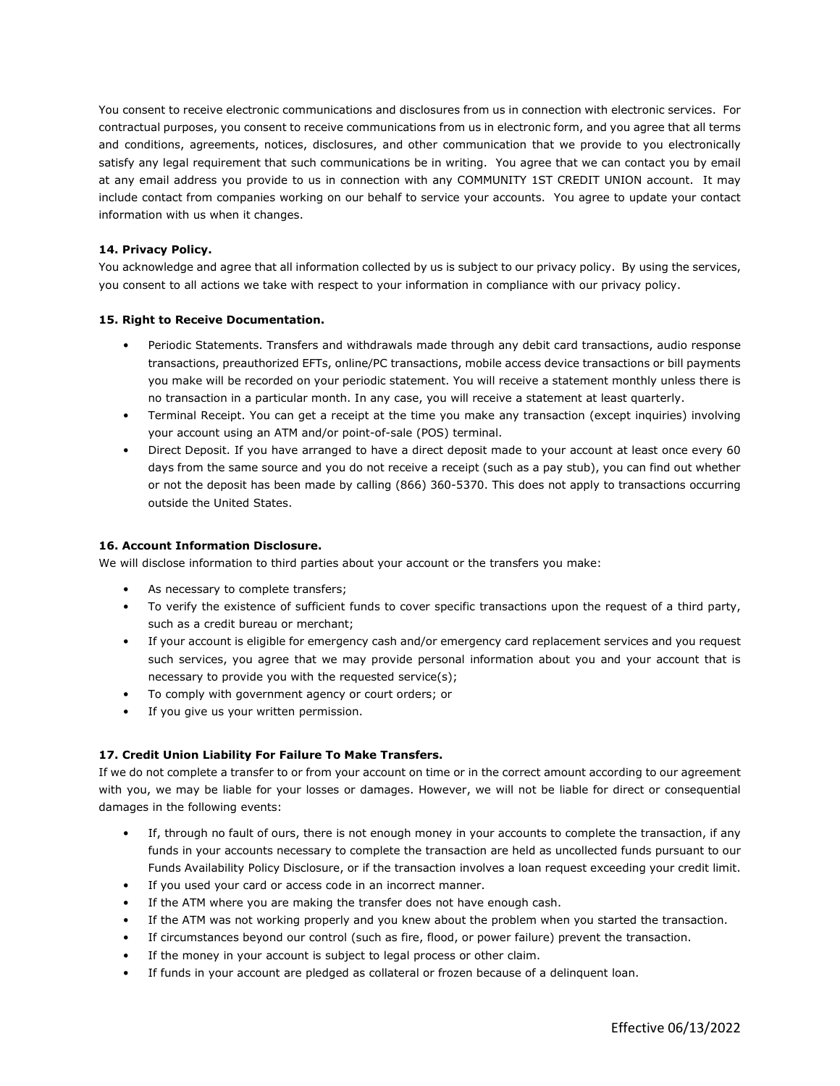You consent to receive electronic communications and disclosures from us in connection with electronic services. For contractual purposes, you consent to receive communications from us in electronic form, and you agree that all terms and conditions, agreements, notices, disclosures, and other communication that we provide to you electronically satisfy any legal requirement that such communications be in writing. You agree that we can contact you by email at any email address you provide to us in connection with any COMMUNITY 1ST CREDIT UNION account. It may include contact from companies working on our behalf to service your accounts. You agree to update your contact information with us when it changes.

### **14. Privacy Policy.**

You acknowledge and agree that all information collected by us is subject to our privacy policy. By using the services, you consent to all actions we take with respect to your information in compliance with our privacy policy.

### **15. Right to Receive Documentation.**

- Periodic Statements. Transfers and withdrawals made through any debit card transactions, audio response transactions, preauthorized EFTs, online/PC transactions, mobile access device transactions or bill payments you make will be recorded on your periodic statement. You will receive a statement monthly unless there is no transaction in a particular month. In any case, you will receive a statement at least quarterly.
- Terminal Receipt. You can get a receipt at the time you make any transaction (except inquiries) involving your account using an ATM and/or point-of-sale (POS) terminal.
- Direct Deposit. If you have arranged to have a direct deposit made to your account at least once every 60 days from the same source and you do not receive a receipt (such as a pay stub), you can find out whether or not the deposit has been made by calling (866) 360-5370. This does not apply to transactions occurring outside the United States.

### **16. Account Information Disclosure.**

We will disclose information to third parties about your account or the transfers you make:

- As necessary to complete transfers;
- To verify the existence of sufficient funds to cover specific transactions upon the request of a third party, such as a credit bureau or merchant;
- If your account is eligible for emergency cash and/or emergency card replacement services and you request such services, you agree that we may provide personal information about you and your account that is necessary to provide you with the requested service(s);
- To comply with government agency or court orders; or
- If you give us your written permission.

## **17. Credit Union Liability For Failure To Make Transfers.**

If we do not complete a transfer to or from your account on time or in the correct amount according to our agreement with you, we may be liable for your losses or damages. However, we will not be liable for direct or consequential damages in the following events:

- If, through no fault of ours, there is not enough money in your accounts to complete the transaction, if any funds in your accounts necessary to complete the transaction are held as uncollected funds pursuant to our Funds Availability Policy Disclosure, or if the transaction involves a loan request exceeding your credit limit.
- If you used your card or access code in an incorrect manner.
- If the ATM where you are making the transfer does not have enough cash.
- If the ATM was not working properly and you knew about the problem when you started the transaction.
- If circumstances beyond our control (such as fire, flood, or power failure) prevent the transaction.
- If the money in your account is subject to legal process or other claim.
- If funds in your account are pledged as collateral or frozen because of a delinquent loan.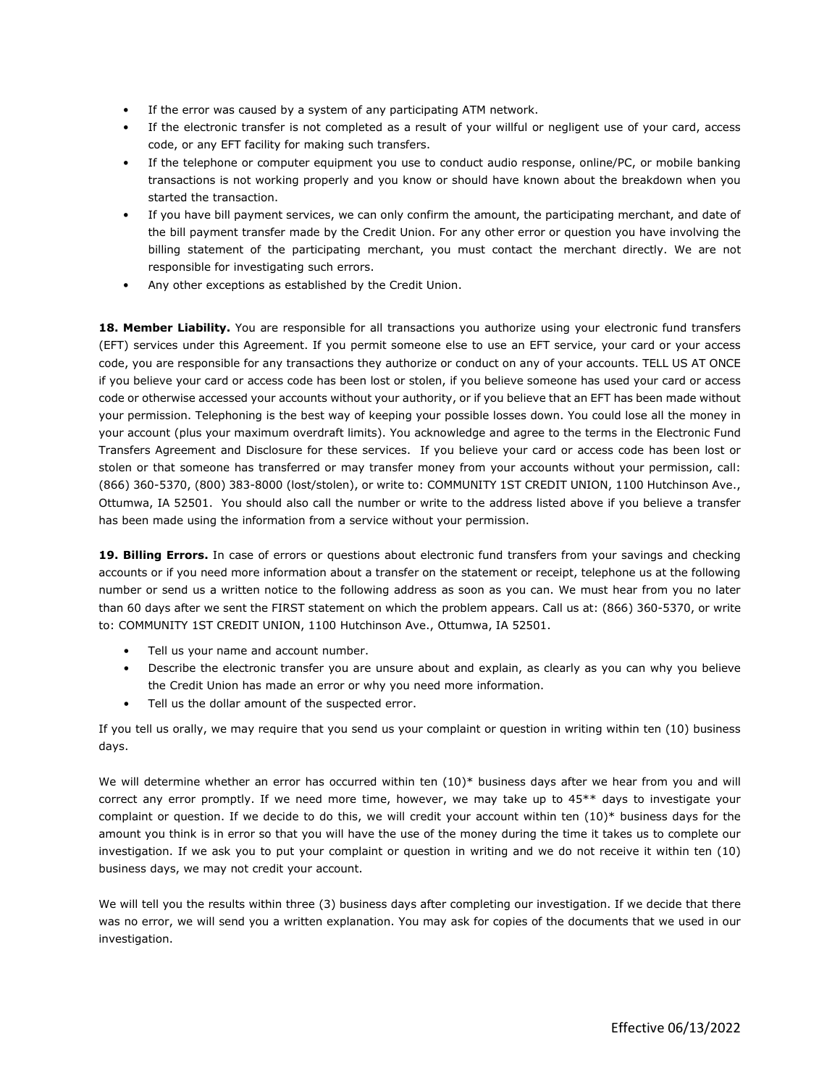- If the error was caused by a system of any participating ATM network.
- If the electronic transfer is not completed as a result of your willful or negligent use of your card, access code, or any EFT facility for making such transfers.
- If the telephone or computer equipment you use to conduct audio response, online/PC, or mobile banking transactions is not working properly and you know or should have known about the breakdown when you started the transaction.
- If you have bill payment services, we can only confirm the amount, the participating merchant, and date of the bill payment transfer made by the Credit Union. For any other error or question you have involving the billing statement of the participating merchant, you must contact the merchant directly. We are not responsible for investigating such errors.
- Any other exceptions as established by the Credit Union.

**18. Member Liability.** You are responsible for all transactions you authorize using your electronic fund transfers (EFT) services under this Agreement. If you permit someone else to use an EFT service, your card or your access code, you are responsible for any transactions they authorize or conduct on any of your accounts. TELL US AT ONCE if you believe your card or access code has been lost or stolen, if you believe someone has used your card or access code or otherwise accessed your accounts without your authority, or if you believe that an EFT has been made without your permission. Telephoning is the best way of keeping your possible losses down. You could lose all the money in your account (plus your maximum overdraft limits). You acknowledge and agree to the terms in the Electronic Fund Transfers Agreement and Disclosure for these services. If you believe your card or access code has been lost or stolen or that someone has transferred or may transfer money from your accounts without your permission, call: (866) 360-5370, (800) 383-8000 (lost/stolen), or write to: COMMUNITY 1ST CREDIT UNION, 1100 Hutchinson Ave., Ottumwa, IA 52501. You should also call the number or write to the address listed above if you believe a transfer has been made using the information from a service without your permission.

**19. Billing Errors.** In case of errors or questions about electronic fund transfers from your savings and checking accounts or if you need more information about a transfer on the statement or receipt, telephone us at the following number or send us a written notice to the following address as soon as you can. We must hear from you no later than 60 days after we sent the FIRST statement on which the problem appears. Call us at: (866) 360-5370, or write to: COMMUNITY 1ST CREDIT UNION, 1100 Hutchinson Ave., Ottumwa, IA 52501.

- Tell us your name and account number.
- Describe the electronic transfer you are unsure about and explain, as clearly as you can why you believe the Credit Union has made an error or why you need more information.
- Tell us the dollar amount of the suspected error.

If you tell us orally, we may require that you send us your complaint or question in writing within ten (10) business days.

We will determine whether an error has occurred within ten  $(10)^*$  business days after we hear from you and will correct any error promptly. If we need more time, however, we may take up to 45\*\* days to investigate your complaint or question. If we decide to do this, we will credit your account within ten (10)\* business days for the amount you think is in error so that you will have the use of the money during the time it takes us to complete our investigation. If we ask you to put your complaint or question in writing and we do not receive it within ten (10) business days, we may not credit your account.

We will tell you the results within three (3) business days after completing our investigation. If we decide that there was no error, we will send you a written explanation. You may ask for copies of the documents that we used in our investigation.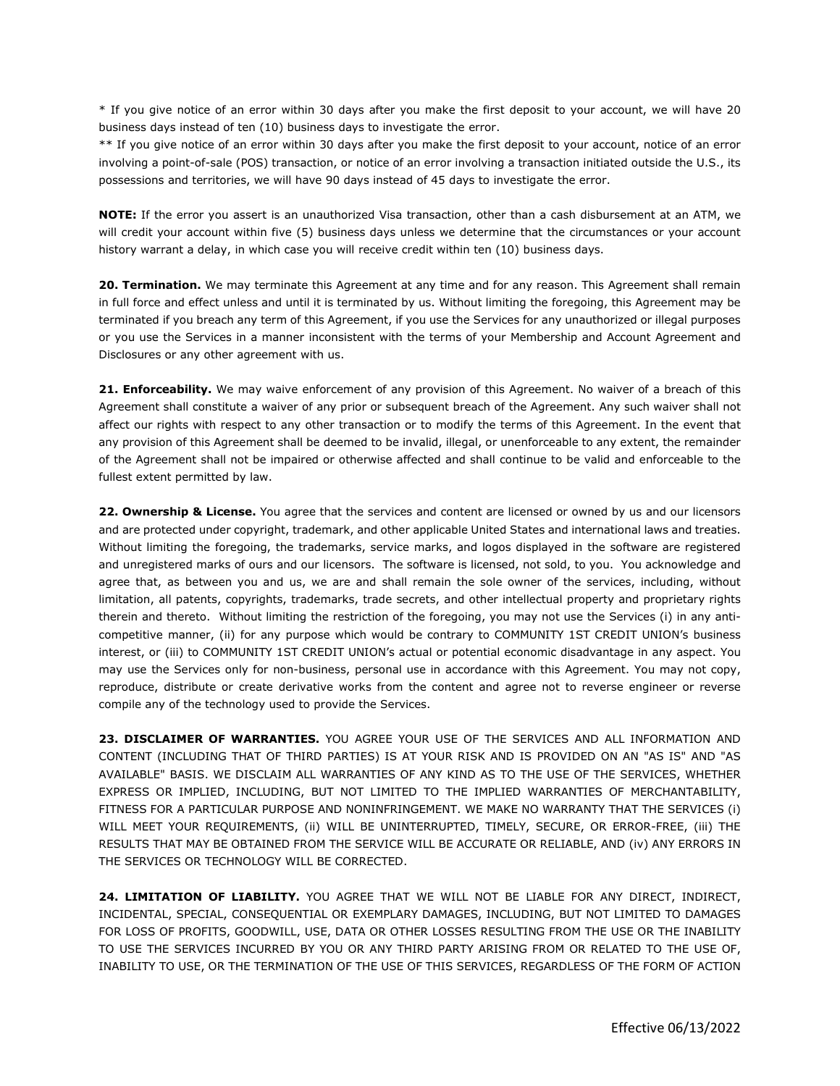\* If you give notice of an error within 30 days after you make the first deposit to your account, we will have 20 business days instead of ten (10) business days to investigate the error.

\*\* If you give notice of an error within 30 days after you make the first deposit to your account, notice of an error involving a point-of-sale (POS) transaction, or notice of an error involving a transaction initiated outside the U.S., its possessions and territories, we will have 90 days instead of 45 days to investigate the error.

**NOTE:** If the error you assert is an unauthorized Visa transaction, other than a cash disbursement at an ATM, we will credit your account within five (5) business days unless we determine that the circumstances or your account history warrant a delay, in which case you will receive credit within ten (10) business days.

**20. Termination.** We may terminate this Agreement at any time and for any reason. This Agreement shall remain in full force and effect unless and until it is terminated by us. Without limiting the foregoing, this Agreement may be terminated if you breach any term of this Agreement, if you use the Services for any unauthorized or illegal purposes or you use the Services in a manner inconsistent with the terms of your Membership and Account Agreement and Disclosures or any other agreement with us.

**21. Enforceability.** We may waive enforcement of any provision of this Agreement. No waiver of a breach of this Agreement shall constitute a waiver of any prior or subsequent breach of the Agreement. Any such waiver shall not affect our rights with respect to any other transaction or to modify the terms of this Agreement. In the event that any provision of this Agreement shall be deemed to be invalid, illegal, or unenforceable to any extent, the remainder of the Agreement shall not be impaired or otherwise affected and shall continue to be valid and enforceable to the fullest extent permitted by law.

**22. Ownership & License.** You agree that the services and content are licensed or owned by us and our licensors and are protected under copyright, trademark, and other applicable United States and international laws and treaties. Without limiting the foregoing, the trademarks, service marks, and logos displayed in the software are registered and unregistered marks of ours and our licensors. The software is licensed, not sold, to you. You acknowledge and agree that, as between you and us, we are and shall remain the sole owner of the services, including, without limitation, all patents, copyrights, trademarks, trade secrets, and other intellectual property and proprietary rights therein and thereto. Without limiting the restriction of the foregoing, you may not use the Services (i) in any anticompetitive manner, (ii) for any purpose which would be contrary to COMMUNITY 1ST CREDIT UNION's business interest, or (iii) to COMMUNITY 1ST CREDIT UNION's actual or potential economic disadvantage in any aspect. You may use the Services only for non-business, personal use in accordance with this Agreement. You may not copy, reproduce, distribute or create derivative works from the content and agree not to reverse engineer or reverse compile any of the technology used to provide the Services.

**23. DISCLAIMER OF WARRANTIES.** YOU AGREE YOUR USE OF THE SERVICES AND ALL INFORMATION AND CONTENT (INCLUDING THAT OF THIRD PARTIES) IS AT YOUR RISK AND IS PROVIDED ON AN "AS IS" AND "AS AVAILABLE" BASIS. WE DISCLAIM ALL WARRANTIES OF ANY KIND AS TO THE USE OF THE SERVICES, WHETHER EXPRESS OR IMPLIED, INCLUDING, BUT NOT LIMITED TO THE IMPLIED WARRANTIES OF MERCHANTABILITY, FITNESS FOR A PARTICULAR PURPOSE AND NONINFRINGEMENT. WE MAKE NO WARRANTY THAT THE SERVICES (i) WILL MEET YOUR REQUIREMENTS, (ii) WILL BE UNINTERRUPTED, TIMELY, SECURE, OR ERROR-FREE, (iii) THE RESULTS THAT MAY BE OBTAINED FROM THE SERVICE WILL BE ACCURATE OR RELIABLE, AND (iv) ANY ERRORS IN THE SERVICES OR TECHNOLOGY WILL BE CORRECTED.

**24. LIMITATION OF LIABILITY.** YOU AGREE THAT WE WILL NOT BE LIABLE FOR ANY DIRECT, INDIRECT, INCIDENTAL, SPECIAL, CONSEQUENTIAL OR EXEMPLARY DAMAGES, INCLUDING, BUT NOT LIMITED TO DAMAGES FOR LOSS OF PROFITS, GOODWILL, USE, DATA OR OTHER LOSSES RESULTING FROM THE USE OR THE INABILITY TO USE THE SERVICES INCURRED BY YOU OR ANY THIRD PARTY ARISING FROM OR RELATED TO THE USE OF, INABILITY TO USE, OR THE TERMINATION OF THE USE OF THIS SERVICES, REGARDLESS OF THE FORM OF ACTION